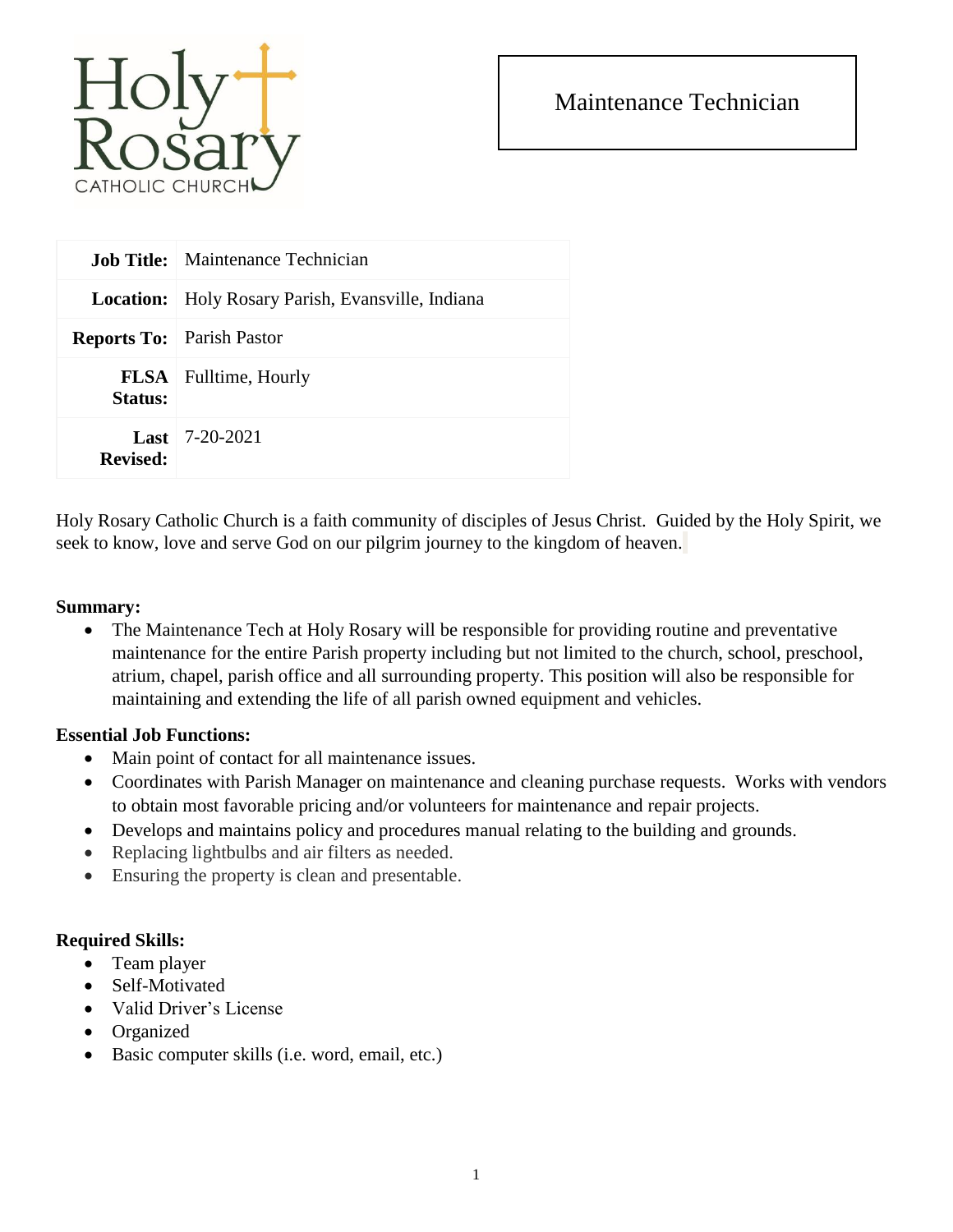

## Maintenance Technician

|                  | <b>Job Title:</b> Maintenance Technician |
|------------------|------------------------------------------|
| <b>Location:</b> | Holy Rosary Parish, Evansville, Indiana  |
|                  | <b>Reports To:</b> Parish Pastor         |
| Status:          | <b>FLSA</b> Fulltime, Hourly             |
| Revised:         | <b>Last</b>   $7-20-2021$                |

Holy Rosary Catholic Church is a faith community of disciples of Jesus Christ. Guided by the Holy Spirit, we seek to know, love and serve God on our pilgrim journey to the kingdom of heaven.

#### **Summary:**

• The Maintenance Tech at Holy Rosary will be responsible for providing routine and preventative maintenance for the entire Parish property including but not limited to the church, school, preschool, atrium, chapel, parish office and all surrounding property. This position will also be responsible for maintaining and extending the life of all parish owned equipment and vehicles.

### **Essential Job Functions:**

- Main point of contact for all maintenance issues.
- Coordinates with Parish Manager on maintenance and cleaning purchase requests. Works with vendors to obtain most favorable pricing and/or volunteers for maintenance and repair projects.
- Develops and maintains policy and procedures manual relating to the building and grounds.
- Replacing lightbulbs and air filters as needed.
- Ensuring the property is clean and presentable.

### **Required Skills:**

- Team player
- Self-Motivated
- Valid Driver's License
- Organized
- Basic computer skills (i.e. word, email, etc.)